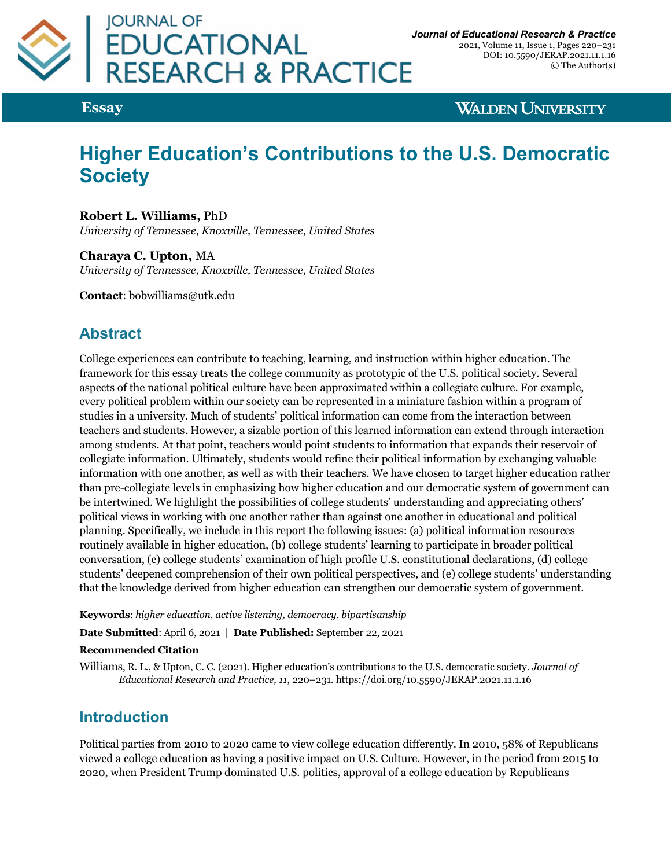

**Essay**

**WALDEN UNIVERSITY** 

# **Higher Education's Contributions to the U.S. Democratic Society**

**Robert L. Williams,** PhD *University of Tennessee, Knoxville, Tennessee, United States*

**Charaya C. Upton,** MA *University of Tennessee, Knoxville, Tennessee, United States*

**Contact**: bobwilliams@utk.edu

# **Abstract**

College experiences can contribute to teaching, learning, and instruction within higher education. The framework for this essay treats the college community as prototypic of the U.S. political society. Several aspects of the national political culture have been approximated within a collegiate culture. For example, every political problem within our society can be represented in a miniature fashion within a program of studies in a university. Much of students' political information can come from the interaction between teachers and students. However, a sizable portion of this learned information can extend through interaction among students. At that point, teachers would point students to information that expands their reservoir of collegiate information. Ultimately, students would refine their political information by exchanging valuable information with one another, as well as with their teachers. We have chosen to target higher education rather than pre-collegiate levels in emphasizing how higher education and our democratic system of government can be intertwined. We highlight the possibilities of college students' understanding and appreciating others' political views in working with one another rather than against one another in educational and political planning. Specifically, we include in this report the following issues: (a) political information resources routinely available in higher education, (b) college students' learning to participate in broader political conversation, (c) college students' examination of high profile U.S. constitutional declarations, (d) college students' deepened comprehension of their own political perspectives, and (e) college students' understanding that the knowledge derived from higher education can strengthen our democratic system of government.

**Keywords**: *higher education, active listening, democracy, bipartisanship*

**Date Submitted**: April 6, 2021 | **Date Published:** September 22, 2021

#### **Recommended Citation**

Williams, R. L., & Upton, C. C. (2021). Higher education's contributions to the U.S. democratic society. *Journal of Educational Research and Practice, 11*, 220–231. https://doi.org/10.5590/JERAP.2021.11.1.16

## **Introduction**

Political parties from 2010 to 2020 came to view college education differently. In 2010, 58% of Republicans viewed a college education as having a positive impact on U.S. Culture. However, in the period from 2015 to 2020, when President Trump dominated U.S. politics, approval of a college education by Republicans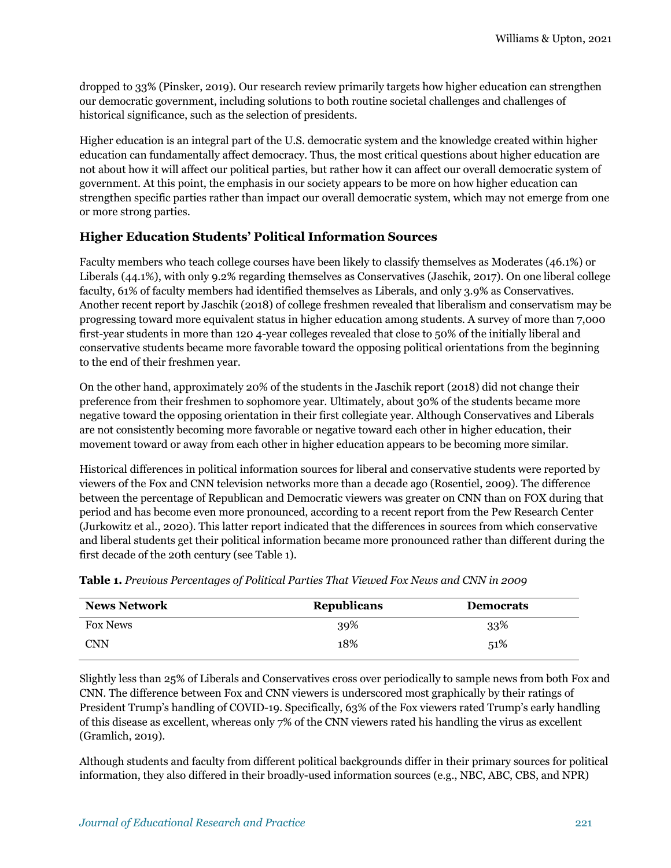dropped to 33% (Pinsker, 2019). Our research review primarily targets how higher education can strengthen our democratic government, including solutions to both routine societal challenges and challenges of historical significance, such as the selection of presidents.

Higher education is an integral part of the U.S. democratic system and the knowledge created within higher education can fundamentally affect democracy. Thus, the most critical questions about higher education are not about how it will affect our political parties, but rather how it can affect our overall democratic system of government. At this point, the emphasis in our society appears to be more on how higher education can strengthen specific parties rather than impact our overall democratic system, which may not emerge from one or more strong parties.

#### **Higher Education Students' Political Information Sources**

Faculty members who teach college courses have been likely to classify themselves as Moderates (46.1%) or Liberals (44.1%), with only 9.2% regarding themselves as Conservatives (Jaschik, 2017). On one liberal college faculty, 61% of faculty members had identified themselves as Liberals, and only 3.9% as Conservatives. Another recent report by Jaschik (2018) of college freshmen revealed that liberalism and conservatism may be progressing toward more equivalent status in higher education among students. A survey of more than 7,000 first-year students in more than 120 4-year colleges revealed that close to 50% of the initially liberal and conservative students became more favorable toward the opposing political orientations from the beginning to the end of their freshmen year.

On the other hand, approximately 20% of the students in the Jaschik report (2018) did not change their preference from their freshmen to sophomore year. Ultimately, about 30% of the students became more negative toward the opposing orientation in their first collegiate year. Although Conservatives and Liberals are not consistently becoming more favorable or negative toward each other in higher education, their movement toward or away from each other in higher education appears to be becoming more similar.

Historical differences in political information sources for liberal and conservative students were reported by viewers of the Fox and CNN television networks more than a decade ago (Rosentiel, 2009). The difference between the percentage of Republican and Democratic viewers was greater on CNN than on FOX during that period and has become even more pronounced, according to a recent report from the Pew Research Center (Jurkowitz et al., 2020). This latter report indicated that the differences in sources from which conservative and liberal students get their political information became more pronounced rather than different during the first decade of the 20th century (see Table 1).

**Table 1.** *Previous Percentages of Political Parties That Viewed Fox News and CNN in 2009*

| <b>News Network</b> | <b>Republicans</b> | <b>Democrats</b> |
|---------------------|--------------------|------------------|
| <b>Fox News</b>     | 39%                | 33%              |
| CNN                 | 18%                | 51%              |

Slightly less than 25% of Liberals and Conservatives cross over periodically to sample news from both Fox and CNN. The difference between Fox and CNN viewers is underscored most graphically by their ratings of President Trump's handling of COVID-19. Specifically, 63% of the Fox viewers rated Trump's early handling of this disease as excellent, whereas only 7% of the CNN viewers rated his handling the virus as excellent (Gramlich, 2019).

Although students and faculty from different political backgrounds differ in their primary sources for political information, they also differed in their broadly-used information sources (e.g., NBC, ABC, CBS, and NPR)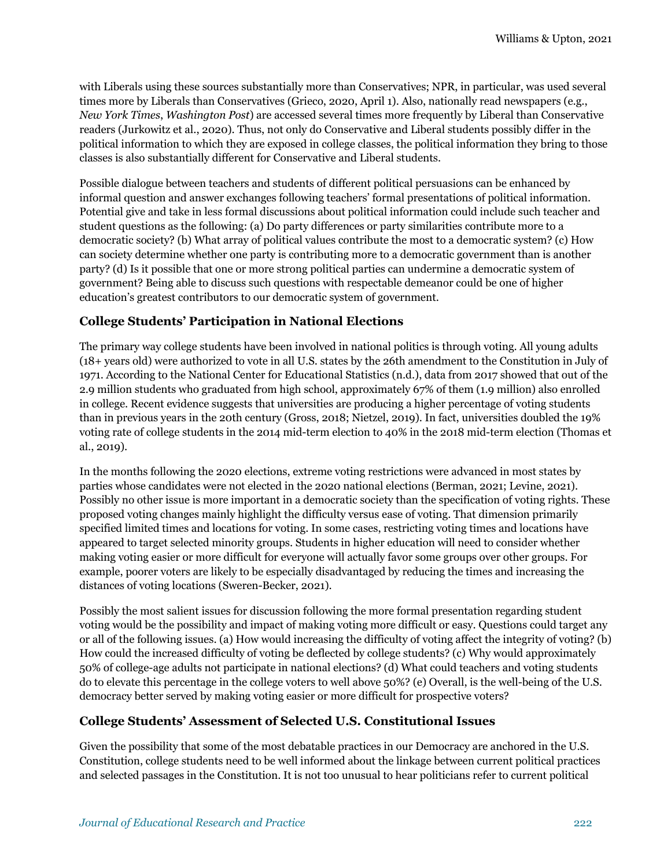with Liberals using these sources substantially more than Conservatives; NPR, in particular, was used several times more by Liberals than Conservatives (Grieco, 2020, April 1). Also, nationally read newspapers (e.g., *New York Times*, *Washington Post*) are accessed several times more frequently by Liberal than Conservative readers (Jurkowitz et al., 2020). Thus, not only do Conservative and Liberal students possibly differ in the political information to which they are exposed in college classes, the political information they bring to those classes is also substantially different for Conservative and Liberal students.

Possible dialogue between teachers and students of different political persuasions can be enhanced by informal question and answer exchanges following teachers' formal presentations of political information. Potential give and take in less formal discussions about political information could include such teacher and student questions as the following: (a) Do party differences or party similarities contribute more to a democratic society? (b) What array of political values contribute the most to a democratic system? (c) How can society determine whether one party is contributing more to a democratic government than is another party? (d) Is it possible that one or more strong political parties can undermine a democratic system of government? Being able to discuss such questions with respectable demeanor could be one of higher education's greatest contributors to our democratic system of government.

#### **College Students' Participation in National Elections**

The primary way college students have been involved in national politics is through voting. All young adults (18+ years old) were authorized to vote in all U.S. states by the 26th amendment to the Constitution in July of 1971. According to the National Center for Educational Statistics (n.d.), data from 2017 showed that out of the 2.9 million students who graduated from high school, approximately 67% of them (1.9 million) also enrolled in college. Recent evidence suggests that universities are producing a higher percentage of voting students than in previous years in the 20th century (Gross, 2018; Nietzel, 2019). In fact, universities doubled the 19% voting rate of college students in the 2014 mid-term election to 40% in the 2018 mid-term election (Thomas et al., 2019).

In the months following the 2020 elections, extreme voting restrictions were advanced in most states by parties whose candidates were not elected in the 2020 national elections (Berman, 2021; Levine, 2021). Possibly no other issue is more important in a democratic society than the specification of voting rights. These proposed voting changes mainly highlight the difficulty versus ease of voting. That dimension primarily specified limited times and locations for voting. In some cases, restricting voting times and locations have appeared to target selected minority groups. Students in higher education will need to consider whether making voting easier or more difficult for everyone will actually favor some groups over other groups. For example, poorer voters are likely to be especially disadvantaged by reducing the times and increasing the distances of voting locations (Sweren-Becker, 2021).

Possibly the most salient issues for discussion following the more formal presentation regarding student voting would be the possibility and impact of making voting more difficult or easy. Questions could target any or all of the following issues. (a) How would increasing the difficulty of voting affect the integrity of voting? (b) How could the increased difficulty of voting be deflected by college students? (c) Why would approximately 50% of college-age adults not participate in national elections? (d) What could teachers and voting students do to elevate this percentage in the college voters to well above 50%? (e) Overall, is the well-being of the U.S. democracy better served by making voting easier or more difficult for prospective voters?

#### **College Students' Assessment of Selected U.S. Constitutional Issues**

Given the possibility that some of the most debatable practices in our Democracy are anchored in the U.S. Constitution, college students need to be well informed about the linkage between current political practices and selected passages in the Constitution. It is not too unusual to hear politicians refer to current political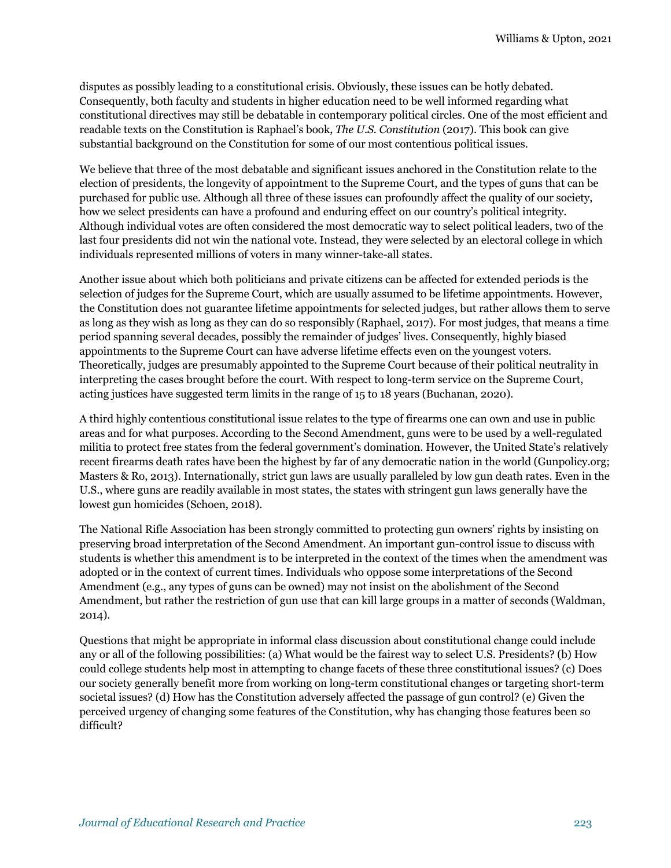disputes as possibly leading to a constitutional crisis. Obviously, these issues can be hotly debated. Consequently, both faculty and students in higher education need to be well informed regarding what constitutional directives may still be debatable in contemporary political circles. One of the most efficient and readable texts on the Constitution is Raphael's book, *The U.S. Constitution* (2017). This book can give substantial background on the Constitution for some of our most contentious political issues.

We believe that three of the most debatable and significant issues anchored in the Constitution relate to the election of presidents, the longevity of appointment to the Supreme Court, and the types of guns that can be purchased for public use. Although all three of these issues can profoundly affect the quality of our society, how we select presidents can have a profound and enduring effect on our country's political integrity. Although individual votes are often considered the most democratic way to select political leaders, two of the last four presidents did not win the national vote. Instead, they were selected by an electoral college in which individuals represented millions of voters in many winner-take-all states.

Another issue about which both politicians and private citizens can be affected for extended periods is the selection of judges for the Supreme Court, which are usually assumed to be lifetime appointments. However, the Constitution does not guarantee lifetime appointments for selected judges, but rather allows them to serve as long as they wish as long as they can do so responsibly (Raphael, 2017). For most judges, that means a time period spanning several decades, possibly the remainder of judges' lives. Consequently, highly biased appointments to the Supreme Court can have adverse lifetime effects even on the youngest voters. Theoretically, judges are presumably appointed to the Supreme Court because of their political neutrality in interpreting the cases brought before the court. With respect to long-term service on the Supreme Court, acting justices have suggested term limits in the range of 15 to 18 years (Buchanan, 2020).

A third highly contentious constitutional issue relates to the type of firearms one can own and use in public areas and for what purposes. According to the Second Amendment, guns were to be used by a well-regulated militia to protect free states from the federal government's domination. However, the United State's relatively recent firearms death rates have been the highest by far of any democratic nation in the world (Gunpolicy.org; Masters & Ro, 2013). Internationally, strict gun laws are usually paralleled by low gun death rates. Even in the U.S., where guns are readily available in most states, the states with stringent gun laws generally have the lowest gun homicides (Schoen, 2018).

The National Rifle Association has been strongly committed to protecting gun owners' rights by insisting on preserving broad interpretation of the Second Amendment. An important gun-control issue to discuss with students is whether this amendment is to be interpreted in the context of the times when the amendment was adopted or in the context of current times. Individuals who oppose some interpretations of the Second Amendment (e.g., any types of guns can be owned) may not insist on the abolishment of the Second Amendment, but rather the restriction of gun use that can kill large groups in a matter of seconds (Waldman, 2014).

Questions that might be appropriate in informal class discussion about constitutional change could include any or all of the following possibilities: (a) What would be the fairest way to select U.S. Presidents? (b) How could college students help most in attempting to change facets of these three constitutional issues? (c) Does our society generally benefit more from working on long-term constitutional changes or targeting short-term societal issues? (d) How has the Constitution adversely affected the passage of gun control? (e) Given the perceived urgency of changing some features of the Constitution, why has changing those features been so difficult?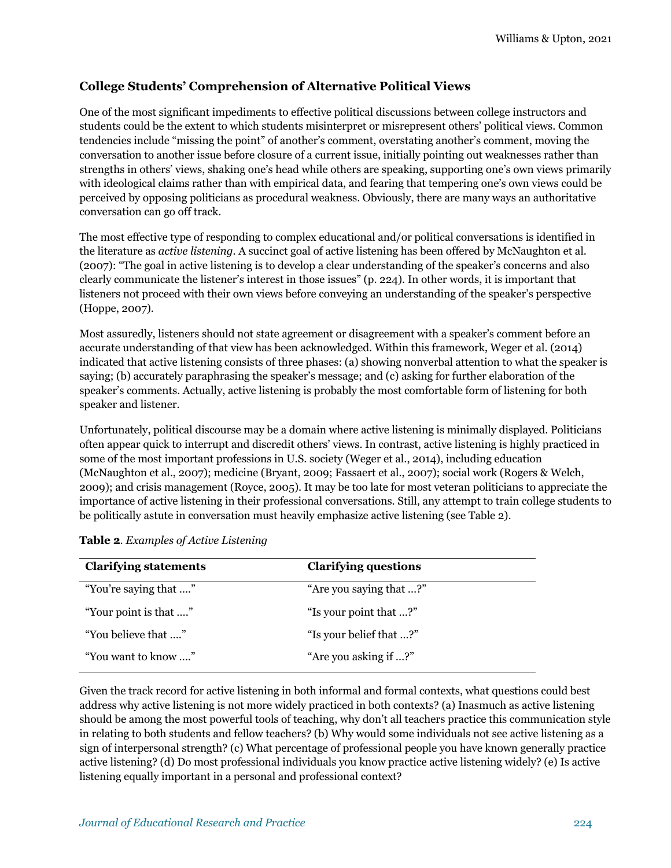#### **College Students' Comprehension of Alternative Political Views**

One of the most significant impediments to effective political discussions between college instructors and students could be the extent to which students misinterpret or misrepresent others' political views. Common tendencies include "missing the point" of another's comment, overstating another's comment, moving the conversation to another issue before closure of a current issue, initially pointing out weaknesses rather than strengths in others' views, shaking one's head while others are speaking, supporting one's own views primarily with ideological claims rather than with empirical data, and fearing that tempering one's own views could be perceived by opposing politicians as procedural weakness. Obviously, there are many ways an authoritative conversation can go off track.

The most effective type of responding to complex educational and/or political conversations is identified in the literature as *active listening*. A succinct goal of active listening has been offered by McNaughton et al. (2007): "The goal in active listening is to develop a clear understanding of the speaker's concerns and also clearly communicate the listener's interest in those issues" (p. 224). In other words, it is important that listeners not proceed with their own views before conveying an understanding of the speaker's perspective (Hoppe, 2007).

Most assuredly, listeners should not state agreement or disagreement with a speaker's comment before an accurate understanding of that view has been acknowledged. Within this framework, Weger et al. (2014) indicated that active listening consists of three phases: (a) showing nonverbal attention to what the speaker is saying; (b) accurately paraphrasing the speaker's message; and (c) asking for further elaboration of the speaker's comments. Actually, active listening is probably the most comfortable form of listening for both speaker and listener.

Unfortunately, political discourse may be a domain where active listening is minimally displayed. Politicians often appear quick to interrupt and discredit others' views. In contrast, active listening is highly practiced in some of the most important professions in U.S. society (Weger et al., 2014), including education (McNaughton et al., 2007); medicine (Bryant, 2009; Fassaert et al., 2007); social work (Rogers & Welch, 2009); and crisis management (Royce, 2005). It may be too late for most veteran politicians to appreciate the importance of active listening in their professional conversations. Still, any attempt to train college students to be politically astute in conversation must heavily emphasize active listening (see Table 2).

| <b>Clarifying statements</b> | <b>Clarifying questions</b> |
|------------------------------|-----------------------------|
| "You're saying that "        | "Are you saying that ?"     |
| "Your point is that "        | "Is your point that ?"      |
| "You believe that "          | "Is your belief that ?"     |
| "You want to know "          | "Are you asking if ?"       |

Given the track record for active listening in both informal and formal contexts, what questions could best address why active listening is not more widely practiced in both contexts? (a) Inasmuch as active listening should be among the most powerful tools of teaching, why don't all teachers practice this communication style in relating to both students and fellow teachers? (b) Why would some individuals not see active listening as a sign of interpersonal strength? (c) What percentage of professional people you have known generally practice active listening? (d) Do most professional individuals you know practice active listening widely? (e) Is active listening equally important in a personal and professional context?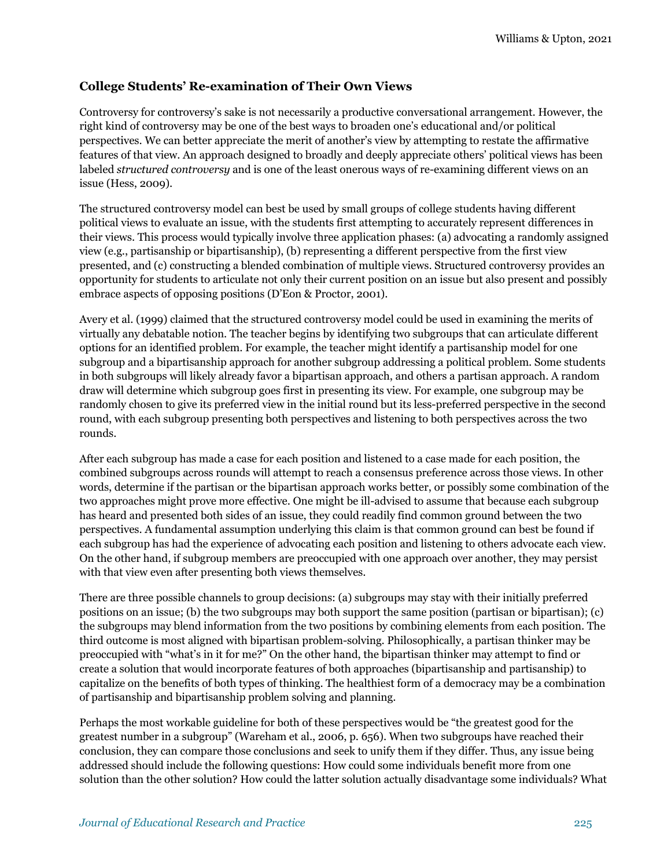#### **College Students' Re-examination of Their Own Views**

Controversy for controversy's sake is not necessarily a productive conversational arrangement. However, the right kind of controversy may be one of the best ways to broaden one's educational and/or political perspectives. We can better appreciate the merit of another's view by attempting to restate the affirmative features of that view. An approach designed to broadly and deeply appreciate others' political views has been labeled *structured controversy* and is one of the least onerous ways of re-examining different views on an issue (Hess, 2009).

The structured controversy model can best be used by small groups of college students having different political views to evaluate an issue, with the students first attempting to accurately represent differences in their views. This process would typically involve three application phases: (a) advocating a randomly assigned view (e.g., partisanship or bipartisanship), (b) representing a different perspective from the first view presented, and (c) constructing a blended combination of multiple views. Structured controversy provides an opportunity for students to articulate not only their current position on an issue but also present and possibly embrace aspects of opposing positions (D'Eon & Proctor, 2001).

Avery et al. (1999) claimed that the structured controversy model could be used in examining the merits of virtually any debatable notion. The teacher begins by identifying two subgroups that can articulate different options for an identified problem. For example, the teacher might identify a partisanship model for one subgroup and a bipartisanship approach for another subgroup addressing a political problem. Some students in both subgroups will likely already favor a bipartisan approach, and others a partisan approach. A random draw will determine which subgroup goes first in presenting its view. For example, one subgroup may be randomly chosen to give its preferred view in the initial round but its less-preferred perspective in the second round, with each subgroup presenting both perspectives and listening to both perspectives across the two rounds.

After each subgroup has made a case for each position and listened to a case made for each position, the combined subgroups across rounds will attempt to reach a consensus preference across those views. In other words, determine if the partisan or the bipartisan approach works better, or possibly some combination of the two approaches might prove more effective. One might be ill-advised to assume that because each subgroup has heard and presented both sides of an issue, they could readily find common ground between the two perspectives. A fundamental assumption underlying this claim is that common ground can best be found if each subgroup has had the experience of advocating each position and listening to others advocate each view. On the other hand, if subgroup members are preoccupied with one approach over another, they may persist with that view even after presenting both views themselves.

There are three possible channels to group decisions: (a) subgroups may stay with their initially preferred positions on an issue; (b) the two subgroups may both support the same position (partisan or bipartisan); (c) the subgroups may blend information from the two positions by combining elements from each position. The third outcome is most aligned with bipartisan problem-solving. Philosophically, a partisan thinker may be preoccupied with "what's in it for me?" On the other hand, the bipartisan thinker may attempt to find or create a solution that would incorporate features of both approaches (bipartisanship and partisanship) to capitalize on the benefits of both types of thinking. The healthiest form of a democracy may be a combination of partisanship and bipartisanship problem solving and planning.

Perhaps the most workable guideline for both of these perspectives would be "the greatest good for the greatest number in a subgroup" (Wareham et al., 2006, p. 656). When two subgroups have reached their conclusion, they can compare those conclusions and seek to unify them if they differ. Thus, any issue being addressed should include the following questions: How could some individuals benefit more from one solution than the other solution? How could the latter solution actually disadvantage some individuals? What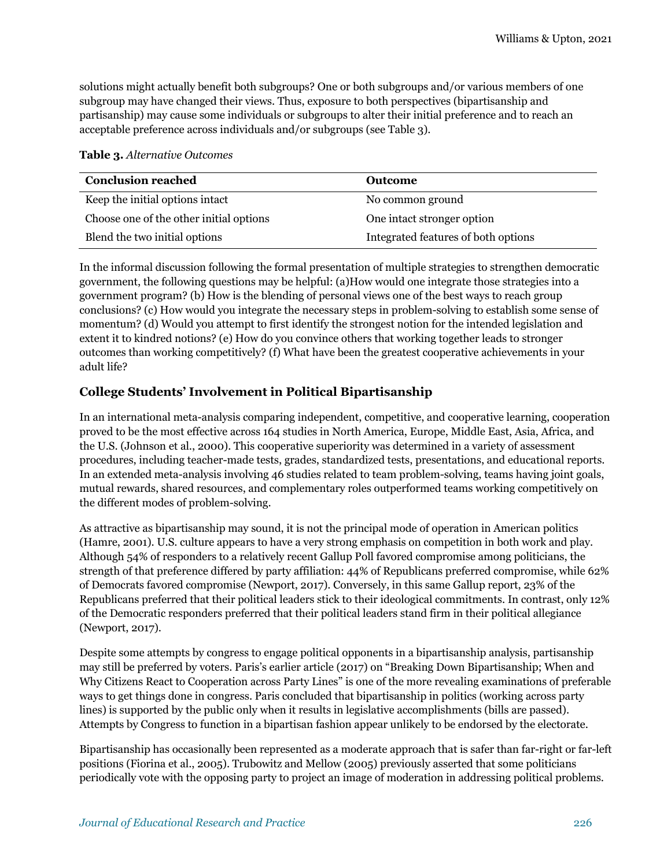solutions might actually benefit both subgroups? One or both subgroups and/or various members of one subgroup may have changed their views. Thus, exposure to both perspectives (bipartisanship and partisanship) may cause some individuals or subgroups to alter their initial preference and to reach an acceptable preference across individuals and/or subgroups (see Table 3).

**Table 3.** *Alternative Outcomes*

| <b>Conclusion reached</b>               | <b>Outcome</b>                      |
|-----------------------------------------|-------------------------------------|
| Keep the initial options intact         | No common ground                    |
| Choose one of the other initial options | One intact stronger option          |
| Blend the two initial options           | Integrated features of both options |

In the informal discussion following the formal presentation of multiple strategies to strengthen democratic government, the following questions may be helpful: (a)How would one integrate those strategies into a government program? (b) How is the blending of personal views one of the best ways to reach group conclusions? (c) How would you integrate the necessary steps in problem-solving to establish some sense of momentum? (d) Would you attempt to first identify the strongest notion for the intended legislation and extent it to kindred notions? (e) How do you convince others that working together leads to stronger outcomes than working competitively? (f) What have been the greatest cooperative achievements in your adult life?

### **College Students' Involvement in Political Bipartisanship**

In an international meta-analysis comparing independent, competitive, and cooperative learning, cooperation proved to be the most effective across 164 studies in North America, Europe, Middle East, Asia, Africa, and the U.S. (Johnson et al., 2000). This cooperative superiority was determined in a variety of assessment procedures, including teacher-made tests, grades, standardized tests, presentations, and educational reports. In an extended meta-analysis involving 46 studies related to team problem-solving, teams having joint goals, mutual rewards, shared resources, and complementary roles outperformed teams working competitively on the different modes of problem-solving.

As attractive as bipartisanship may sound, it is not the principal mode of operation in American politics (Hamre, 2001). U.S. culture appears to have a very strong emphasis on competition in both work and play. Although 54% of responders to a relatively recent Gallup Poll favored compromise among politicians, the strength of that preference differed by party affiliation: 44% of Republicans preferred compromise, while 62% of Democrats favored compromise (Newport, 2017). Conversely, in this same Gallup report, 23% of the Republicans preferred that their political leaders stick to their ideological commitments. In contrast, only 12% of the Democratic responders preferred that their political leaders stand firm in their political allegiance (Newport, 2017).

Despite some attempts by congress to engage political opponents in a bipartisanship analysis, partisanship may still be preferred by voters. Paris's earlier article (2017) on "Breaking Down Bipartisanship; When and Why Citizens React to Cooperation across Party Lines" is one of the more revealing examinations of preferable ways to get things done in congress. Paris concluded that bipartisanship in politics (working across party lines) is supported by the public only when it results in legislative accomplishments (bills are passed). Attempts by Congress to function in a bipartisan fashion appear unlikely to be endorsed by the electorate.

Bipartisanship has occasionally been represented as a moderate approach that is safer than far-right or far-left positions (Fiorina et al., 2005). Trubowitz and Mellow (2005) previously asserted that some politicians periodically vote with the opposing party to project an image of moderation in addressing political problems.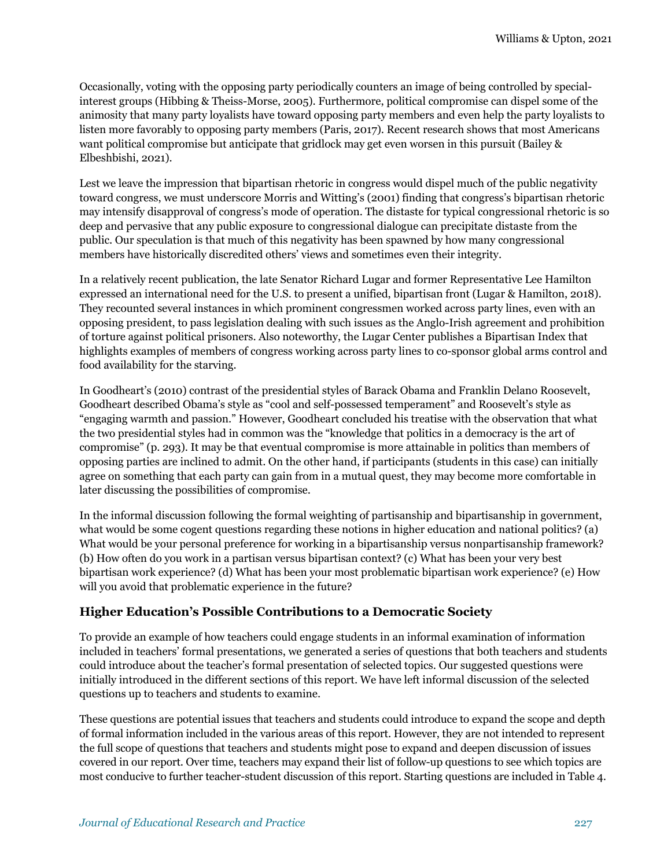Occasionally, voting with the opposing party periodically counters an image of being controlled by specialinterest groups (Hibbing & Theiss-Morse, 2005). Furthermore, political compromise can dispel some of the animosity that many party loyalists have toward opposing party members and even help the party loyalists to listen more favorably to opposing party members (Paris, 2017). Recent research shows that most Americans want political compromise but anticipate that gridlock may get even worsen in this pursuit (Bailey & Elbeshbishi, 2021).

Lest we leave the impression that bipartisan rhetoric in congress would dispel much of the public negativity toward congress, we must underscore Morris and Witting's (2001) finding that congress's bipartisan rhetoric may intensify disapproval of congress's mode of operation. The distaste for typical congressional rhetoric is so deep and pervasive that any public exposure to congressional dialogue can precipitate distaste from the public. Our speculation is that much of this negativity has been spawned by how many congressional members have historically discredited others' views and sometimes even their integrity.

In a relatively recent publication, the late Senator Richard Lugar and former Representative Lee Hamilton expressed an international need for the U.S. to present a unified, bipartisan front (Lugar & Hamilton, 2018). They recounted several instances in which prominent congressmen worked across party lines, even with an opposing president, to pass legislation dealing with such issues as the Anglo-Irish agreement and prohibition of torture against political prisoners. Also noteworthy, the Lugar Center publishes a Bipartisan Index that highlights examples of members of congress working across party lines to co-sponsor global arms control and food availability for the starving.

In Goodheart's (2010) contrast of the presidential styles of Barack Obama and Franklin Delano Roosevelt, Goodheart described Obama's style as "cool and self-possessed temperament" and Roosevelt's style as "engaging warmth and passion." However, Goodheart concluded his treatise with the observation that what the two presidential styles had in common was the "knowledge that politics in a democracy is the art of compromise" (p. 293). It may be that eventual compromise is more attainable in politics than members of opposing parties are inclined to admit. On the other hand, if participants (students in this case) can initially agree on something that each party can gain from in a mutual quest, they may become more comfortable in later discussing the possibilities of compromise.

In the informal discussion following the formal weighting of partisanship and bipartisanship in government, what would be some cogent questions regarding these notions in higher education and national politics? (a) What would be your personal preference for working in a bipartisanship versus nonpartisanship framework? (b) How often do you work in a partisan versus bipartisan context? (c) What has been your very best bipartisan work experience? (d) What has been your most problematic bipartisan work experience? (e) How will you avoid that problematic experience in the future?

### **Higher Education's Possible Contributions to a Democratic Society**

To provide an example of how teachers could engage students in an informal examination of information included in teachers' formal presentations, we generated a series of questions that both teachers and students could introduce about the teacher's formal presentation of selected topics. Our suggested questions were initially introduced in the different sections of this report. We have left informal discussion of the selected questions up to teachers and students to examine.

These questions are potential issues that teachers and students could introduce to expand the scope and depth of formal information included in the various areas of this report. However, they are not intended to represent the full scope of questions that teachers and students might pose to expand and deepen discussion of issues covered in our report. Over time, teachers may expand their list of follow-up questions to see which topics are most conducive to further teacher-student discussion of this report. Starting questions are included in Table 4.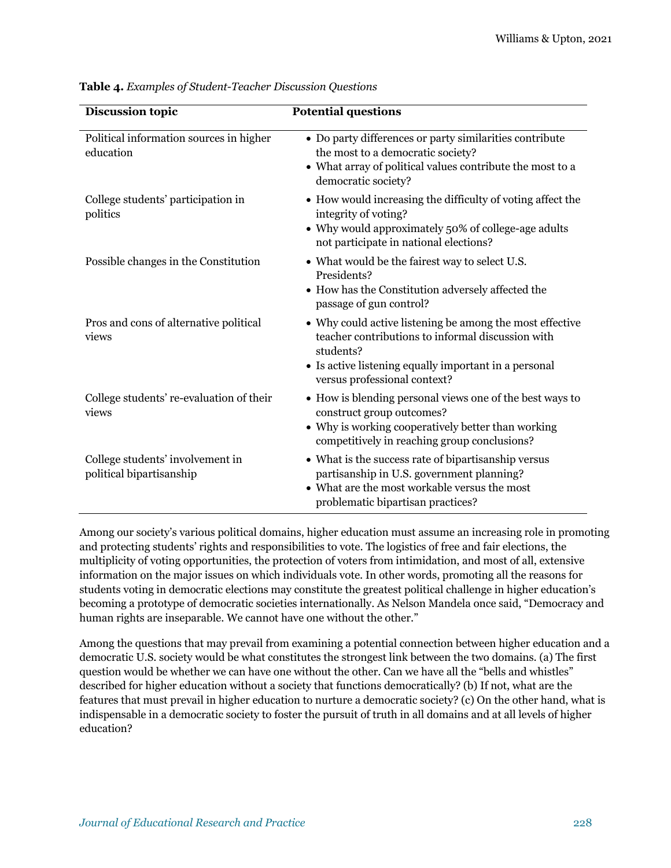| <b>Discussion topic</b>                                      | <b>Potential questions</b>                                                                                                                                                                                          |
|--------------------------------------------------------------|---------------------------------------------------------------------------------------------------------------------------------------------------------------------------------------------------------------------|
| Political information sources in higher<br>education         | • Do party differences or party similarities contribute<br>the most to a democratic society?<br>• What array of political values contribute the most to a<br>democratic society?                                    |
| College students' participation in<br>politics               | • How would increasing the difficulty of voting affect the<br>integrity of voting?<br>• Why would approximately 50% of college-age adults<br>not participate in national elections?                                 |
| Possible changes in the Constitution                         | • What would be the fairest way to select U.S.<br>Presidents?<br>• How has the Constitution adversely affected the<br>passage of gun control?                                                                       |
| Pros and cons of alternative political<br>views              | • Why could active listening be among the most effective<br>teacher contributions to informal discussion with<br>students?<br>• Is active listening equally important in a personal<br>versus professional context? |
| College students' re-evaluation of their<br>views            | • How is blending personal views one of the best ways to<br>construct group outcomes?<br>• Why is working cooperatively better than working<br>competitively in reaching group conclusions?                         |
| College students' involvement in<br>political bipartisanship | • What is the success rate of bipartisanship versus<br>partisanship in U.S. government planning?<br>What are the most workable versus the most<br>problematic bipartisan practices?                                 |

**Table 4.** *Examples of Student-Teacher Discussion Questions*

Among our society's various political domains, higher education must assume an increasing role in promoting and protecting students' rights and responsibilities to vote. The logistics of free and fair elections, the multiplicity of voting opportunities, the protection of voters from intimidation, and most of all, extensive information on the major issues on which individuals vote. In other words, promoting all the reasons for students voting in democratic elections may constitute the greatest political challenge in higher education's becoming a prototype of democratic societies internationally. As Nelson Mandela once said, "Democracy and human rights are inseparable. We cannot have one without the other."

Among the questions that may prevail from examining a potential connection between higher education and a democratic U.S. society would be what constitutes the strongest link between the two domains. (a) The first question would be whether we can have one without the other. Can we have all the "bells and whistles" described for higher education without a society that functions democratically? (b) If not, what are the features that must prevail in higher education to nurture a democratic society? (c) On the other hand, what is indispensable in a democratic society to foster the pursuit of truth in all domains and at all levels of higher education?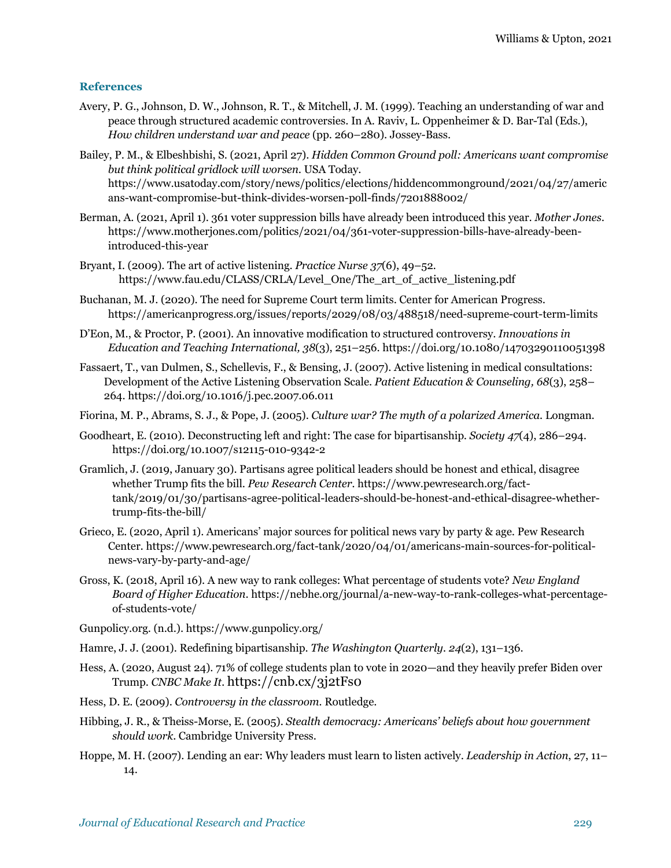#### **References**

- Avery, P. G., Johnson, D. W., Johnson, R. T., & Mitchell, J. M. (1999). Teaching an understanding of war and peace through structured academic controversies. In A. Raviv, L. Oppenheimer & D. Bar-Tal (Eds.), *How children understand war and peace* (pp. 260–280). Jossey-Bass.
- Bailey, P. M., & Elbeshbishi, S. (2021, April 27). *Hidden Common Ground poll: Americans want compromise but think political gridlock will worsen*. USA Today. https://www.usatoday.com/story/news/politics/elections/hiddencommonground/2021/04/27/americ ans-want-compromise-but-think-divides-worsen-poll-finds/7201888002/
- Berman, A. (2021, April 1). 361 voter suppression bills have already been introduced this year. *Mother Jones*. https://www.motherjones.com/politics/2021/04/361-voter-suppression-bills-have-already-beenintroduced-this-year
- Bryant, I*.* (2009). The art of active listening. *Practice Nurse 37*(6), 49–52*.* https://www.fau.edu/CLASS/CRLA/Level\_One/The\_art\_of\_active\_listening.pdf
- Buchanan, M. J. (2020). The need for Supreme Court term limits. Center for American Progress. https://americanprogress.org/issues/reports/2029/08/03/488518/need-supreme-court-term-limits
- D'Eon, M., & Proctor, P. (2001). An innovative modification to structured controversy. *Innovations in Education and Teaching International, 38*(3), 251–256. https://doi.org/10.1080/14703290110051398
- Fassaert, T., van Dulmen, S., Schellevis, F., & Bensing, J. (2007). Active listening in medical consultations: Development of the Active Listening Observation Scale. *Patient Education & Counseling, 68*(3), 258– 264. https://doi.org/10.1016/j.pec.2007.06.011
- Fiorina, M. P., Abrams, S. J., & Pope, J. (2005). *Culture war? The myth of a polarized America.* Longman.
- Goodheart, E. (2010). Deconstructing left and right: The case for bipartisanship. *Society 47*(4), 286–294. https://doi.org/10.1007/s12115-010-9342-2
- Gramlich, J. (2019, January 30). Partisans agree political leaders should be honest and ethical, disagree whether Trump fits the bill. *Pew Research Center.* https://www.pewresearch.org/facttank/2019/01/30/partisans-agree-political-leaders-should-be-honest-and-ethical-disagree-whethertrump-fits-the-bill/
- Grieco, E. (2020, April 1). Americans' major sources for political news vary by party & age. Pew Research Center*.* https://www.pewresearch.org/fact-tank/2020/04/01/americans-main-sources-for-politicalnews-vary-by-party-and-age/
- Gross, K. (2018, April 16). A new way to rank colleges: What percentage of students vote? *New England Board of Higher Education*. https://nebhe.org/journal/a-new-way-to-rank-colleges-what-percentageof-students-vote/

Gunpolicy.org. (n.d.). https://www.gunpolicy.org/

- Hamre, J. J. (2001). Redefining bipartisanship. *The Washington Quarterly. 24*(2), 131–136.
- Hess, A. (2020, August 24). 71% of college students plan to vote in 2020—and they heavily prefer Biden over Trump. *CNBC Make It.* https://cnb.cx/3j2tFs0
- Hess, D. E. (2009). *Controversy in the classroom.* Routledge.
- Hibbing, J. R., & Theiss-Morse, E. (2005). *Stealth democracy: Americans' beliefs about how government should work*. Cambridge University Press.
- Hoppe, M. H. (2007). Lending an ear: Why leaders must learn to listen actively. *Leadership in Action*, 27, 11– 14.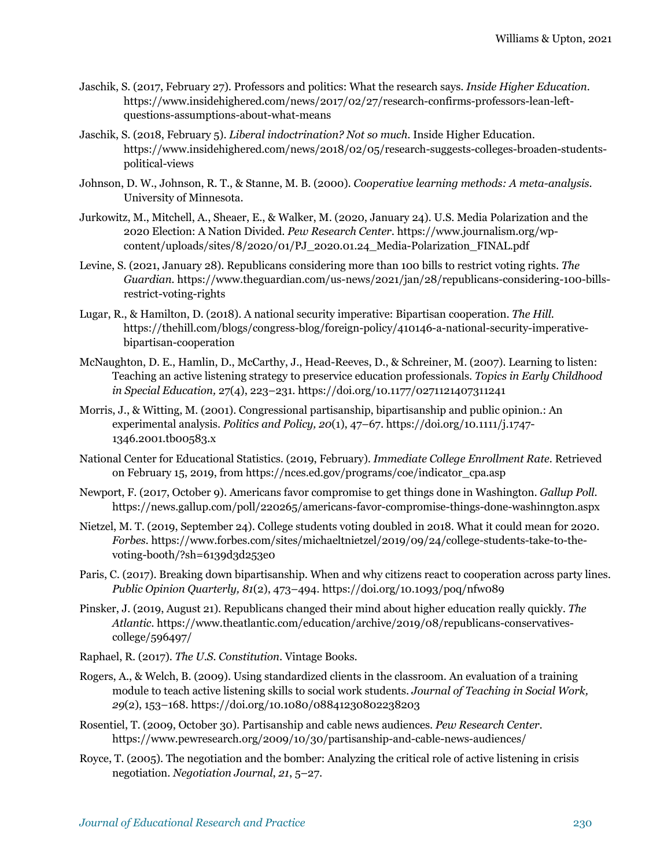- Jaschik, S. (2017, February 27). Professors and politics: What the research says. *Inside Higher Education.*  https://www.insidehighered.com/news/2017/02/27/research-confirms-professors-lean-leftquestions-assumptions-about-what-means
- Jaschik, S. (2018, February 5). *Liberal indoctrination? Not so much*. Inside Higher Education. https://www.insidehighered.com/news/2018/02/05/research-suggests-colleges-broaden-studentspolitical-views
- Johnson, D. W., Johnson, R. T., & Stanne, M. B. (2000). *Cooperative learning methods: A meta-analysis.* University of Minnesota.
- Jurkowitz, M., Mitchell, A., Sheaer, E., & Walker, M. (2020, January 24). U.S. Media Polarization and the 2020 Election: A Nation Divided. *Pew Research Center*. https://www.journalism.org/wpcontent/uploads/sites/8/2020/01/PJ\_2020.01.24\_Media-Polarization\_FINAL.pdf
- Levine, S. (2021, January 28). Republicans considering more than 100 bills to restrict voting rights. *The Guardian.* https://www.theguardian.com/us-news/2021/jan/28/republicans-considering-100-billsrestrict-voting-rights
- Lugar, R., & Hamilton, D. (2018). A national security imperative: Bipartisan cooperation. *The Hill.* https://thehill.com/blogs/congress-blog/foreign-policy/410146-a-national-security-imperativebipartisan-cooperation
- McNaughton, D. E., Hamlin, D., McCarthy, J., Head-Reeves, D., & Schreiner, M. (2007). Learning to listen: Teaching an active listening strategy to preservice education professionals. *Topics in Early Childhood in Special Education,* 27(4), 223–231. https://doi.org/10.1177/0271121407311241
- Morris, J., & Witting, M. (2001). Congressional partisanship, bipartisanship and public opinion.: An experimental analysis. *Politics and Policy, 20*(1), 47–67. https://doi.org/10.1111/j.1747- 1346.2001.tb00583.x
- National Center for Educational Statistics. (2019, February). *Immediate College Enrollment Rate.* Retrieved on February 15, 2019, from https://nces.ed.gov/programs/coe/indicator\_cpa.asp
- Newport, F. (2017, October 9). Americans favor compromise to get things done in Washington. *Gallup Poll.* https://news.gallup.com/poll/220265/americans-favor-compromise-things-done-washinngton.aspx
- Nietzel, M. T. (2019, September 24). College students voting doubled in 2018. What it could mean for 2020. *Forbes.* https://www.forbes.com/sites/michaeltnietzel/2019/09/24/college-students-take-to-thevoting-booth/?sh=6139d3d253e0
- Paris, C. (2017). Breaking down bipartisanship. When and why citizens react to cooperation across party lines. *Public Opinion Quarterly, 81*(2), 473–494. https://doi.org/10.1093/poq/nfw089
- Pinsker, J. (2019, August 21). Republicans changed their mind about higher education really quickly. *The Atlantic.* https://www.theatlantic.com/education/archive/2019/08/republicans-conservativescollege/596497/
- Raphael, R. (2017). *The U.S. Constitution*. Vintage Books.
- Rogers, A., & Welch, B. (2009). Using standardized clients in the classroom. An evaluation of a training module to teach active listening skills to social work students. *Journal of Teaching in Social Work, 29*(2), 153–168. https://doi.org/10.1080/08841230802238203
- Rosentiel, T. (2009, October 30). Partisanship and cable news audiences. *Pew Research Center*. https://www.pewresearch.org/2009/10/30/partisanship-and-cable-news-audiences/
- Royce, T. (2005). The negotiation and the bomber: Analyzing the critical role of active listening in crisis negotiation. *Negotiation Journal*, *21*, 5–27.